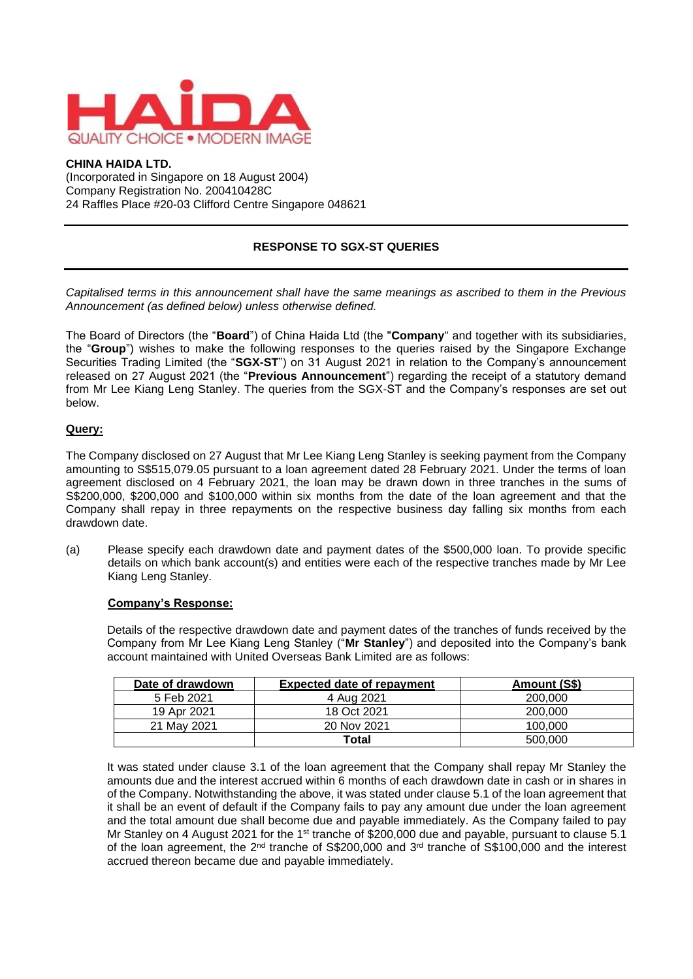

## **CHINA HAIDA LTD.**

(Incorporated in Singapore on 18 August 2004) Company Registration No. 200410428C 24 Raffles Place #20-03 Clifford Centre Singapore 048621

# **RESPONSE TO SGX-ST QUERIES**

*Capitalised terms in this announcement shall have the same meanings as ascribed to them in the Previous Announcement (as defined below) unless otherwise defined.*

The Board of Directors (the "**Board**") of China Haida Ltd (the "**Company**" and together with its subsidiaries, the "**Group**") wishes to make the following responses to the queries raised by the Singapore Exchange Securities Trading Limited (the "**SGX-ST**") on 31 August 2021 in relation to the Company's announcement released on 27 August 2021 (the "**Previous Announcement**") regarding the receipt of a statutory demand from Mr Lee Kiang Leng Stanley. The queries from the SGX-ST and the Company's responses are set out below.

### **Query:**

The Company disclosed on 27 August that Mr Lee Kiang Leng Stanley is seeking payment from the Company amounting to S\$515,079.05 pursuant to a loan agreement dated 28 February 2021. Under the terms of loan agreement disclosed on 4 February 2021, the loan may be drawn down in three tranches in the sums of S\$200,000, \$200,000 and \$100,000 within six months from the date of the loan agreement and that the Company shall repay in three repayments on the respective business day falling six months from each drawdown date.

(a) Please specify each drawdown date and payment dates of the \$500,000 loan. To provide specific details on which bank account(s) and entities were each of the respective tranches made by Mr Lee Kiang Leng Stanley.

#### **Company's Response:**

Details of the respective drawdown date and payment dates of the tranches of funds received by the Company from Mr Lee Kiang Leng Stanley ("**Mr Stanley**") and deposited into the Company's bank account maintained with United Overseas Bank Limited are as follows:

| Date of drawdown | <b>Expected date of repayment</b> | Amount (S\$) |
|------------------|-----------------------------------|--------------|
| 5 Feb 2021       | 4 Aug 2021                        | 200,000      |
| 19 Apr 2021      | 18 Oct 2021                       | 200,000      |
| 21 May 2021      | 20 Nov 2021                       | 100,000      |
|                  | Total                             | 500,000      |

It was stated under clause 3.1 of the loan agreement that the Company shall repay Mr Stanley the amounts due and the interest accrued within 6 months of each drawdown date in cash or in shares in of the Company. Notwithstanding the above, it was stated under clause 5.1 of the loan agreement that it shall be an event of default if the Company fails to pay any amount due under the loan agreement and the total amount due shall become due and payable immediately. As the Company failed to pay Mr Stanley on 4 August 2021 for the 1<sup>st</sup> tranche of \$200,000 due and payable, pursuant to clause 5.1 of the loan agreement, the 2<sup>nd</sup> tranche of S\$200,000 and 3<sup>rd</sup> tranche of S\$100,000 and the interest accrued thereon became due and payable immediately.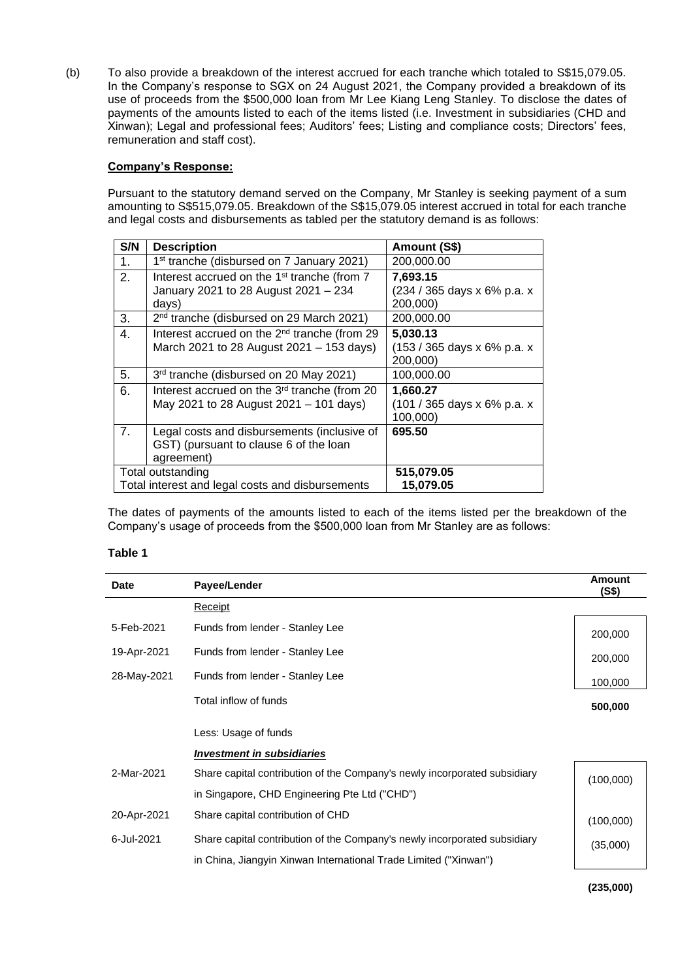(b) To also provide a breakdown of the interest accrued for each tranche which totaled to S\$15,079.05. In the Company's response to SGX on 24 August 2021, the Company provided a breakdown of its use of proceeds from the \$500,000 loan from Mr Lee Kiang Leng Stanley. To disclose the dates of payments of the amounts listed to each of the items listed (i.e. Investment in subsidiaries (CHD and Xinwan); Legal and professional fees; Auditors' fees; Listing and compliance costs; Directors' fees, remuneration and staff cost).

## **Company's Response:**

Pursuant to the statutory demand served on the Company, Mr Stanley is seeking payment of a sum amounting to S\$515,079.05. Breakdown of the S\$15,079.05 interest accrued in total for each tranche and legal costs and disbursements as tabled per the statutory demand is as follows:

| S/N | <b>Description</b>                                                                                       | Amount (S\$)                                        |
|-----|----------------------------------------------------------------------------------------------------------|-----------------------------------------------------|
| 1.  | 1 <sup>st</sup> tranche (disbursed on 7 January 2021)                                                    | 200,000.00                                          |
| 2.  | Interest accrued on the 1 <sup>st</sup> tranche (from 7<br>January 2021 to 28 August 2021 - 234<br>days) | 7,693.15<br>(234 / 365 days x 6% p.a. x<br>200,000) |
| 3.  | 2 <sup>nd</sup> tranche (disbursed on 29 March 2021)                                                     | 200,000.00                                          |
| 4.  | Interest accrued on the 2 <sup>nd</sup> tranche (from 29<br>March 2021 to 28 August 2021 - 153 days)     | 5,030.13<br>(153 / 365 days x 6% p.a. x<br>200,000) |
| 5.  | 3rd tranche (disbursed on 20 May 2021)                                                                   | 100,000.00                                          |
| 6.  | Interest accrued on the 3 <sup>rd</sup> tranche (from 20<br>May 2021 to 28 August 2021 - 101 days)       | 1,660.27<br>(101 / 365 days x 6% p.a. x<br>100,000) |
| 7.  | Legal costs and disbursements (inclusive of<br>GST) (pursuant to clause 6 of the loan<br>agreement)      | 695.50                                              |
|     | Total outstanding<br>Total interest and legal costs and disbursements                                    | 515,079.05<br>15,079.05                             |

The dates of payments of the amounts listed to each of the items listed per the breakdown of the Company's usage of proceeds from the \$500,000 loan from Mr Stanley are as follows:

#### **Table 1**

| <b>Date</b> | Payee/Lender                                                              | <b>Amount</b><br>(S\$) |
|-------------|---------------------------------------------------------------------------|------------------------|
|             | Receipt                                                                   |                        |
| 5-Feb-2021  | Funds from lender - Stanley Lee                                           | 200,000                |
| 19-Apr-2021 | Funds from lender - Stanley Lee                                           | 200,000                |
| 28-May-2021 | Funds from lender - Stanley Lee                                           | 100,000                |
|             | Total inflow of funds                                                     | 500,000                |
|             | Less: Usage of funds                                                      |                        |
|             | <b>Investment in subsidiaries</b>                                         |                        |
| 2-Mar-2021  | Share capital contribution of the Company's newly incorporated subsidiary | (100,000)              |
|             | in Singapore, CHD Engineering Pte Ltd ("CHD")                             |                        |
| 20-Apr-2021 | Share capital contribution of CHD                                         | (100,000)              |
| 6-Jul-2021  | Share capital contribution of the Company's newly incorporated subsidiary | (35,000)               |
|             | in China, Jiangyin Xinwan International Trade Limited ("Xinwan")          |                        |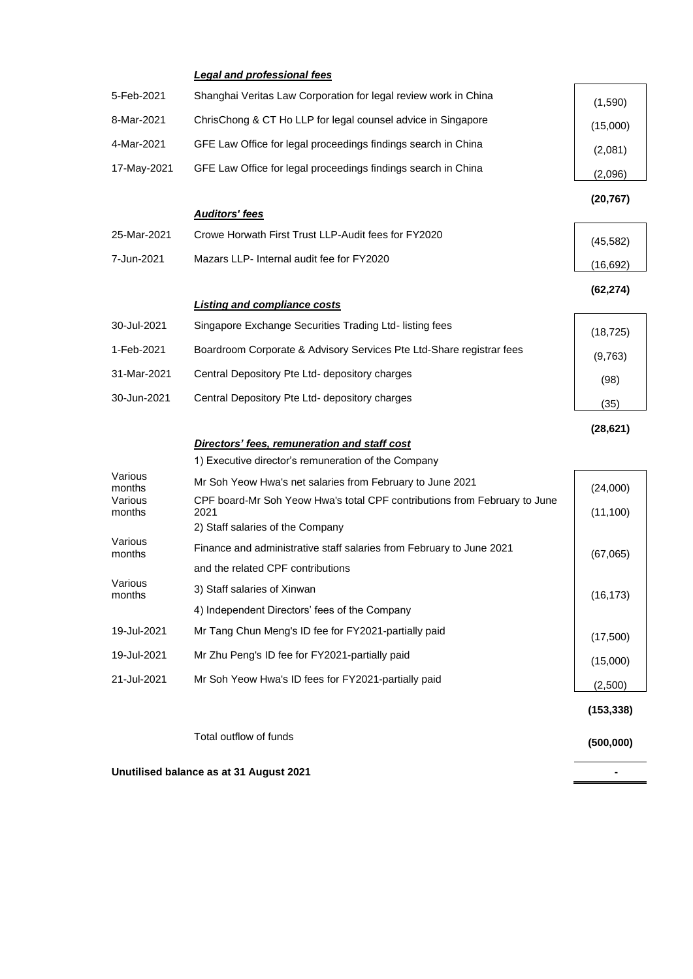|                   | <b>Legal and professional fees</b>                                                |            |  |
|-------------------|-----------------------------------------------------------------------------------|------------|--|
| 5-Feb-2021        | Shanghai Veritas Law Corporation for legal review work in China                   | (1,590)    |  |
| 8-Mar-2021        | ChrisChong & CT Ho LLP for legal counsel advice in Singapore                      | (15,000)   |  |
| 4-Mar-2021        | GFE Law Office for legal proceedings findings search in China                     | (2,081)    |  |
| 17-May-2021       | GFE Law Office for legal proceedings findings search in China                     | (2,096)    |  |
|                   |                                                                                   | (20, 767)  |  |
|                   | <b>Auditors' fees</b>                                                             |            |  |
| 25-Mar-2021       | Crowe Horwath First Trust LLP-Audit fees for FY2020                               | (45, 582)  |  |
| 7-Jun-2021        | Mazars LLP- Internal audit fee for FY2020                                         | (16, 692)  |  |
|                   |                                                                                   | (62, 274)  |  |
|                   | <b>Listing and compliance costs</b>                                               |            |  |
| 30-Jul-2021       | Singapore Exchange Securities Trading Ltd- listing fees                           | (18, 725)  |  |
| 1-Feb-2021        | Boardroom Corporate & Advisory Services Pte Ltd-Share registrar fees              | (9,763)    |  |
| 31-Mar-2021       | Central Depository Pte Ltd- depository charges                                    | (98)       |  |
| 30-Jun-2021       | Central Depository Pte Ltd- depository charges                                    | (35)       |  |
|                   |                                                                                   | (28, 621)  |  |
|                   | Directors' fees, remuneration and staff cost                                      |            |  |
|                   | 1) Executive director's remuneration of the Company                               |            |  |
| Various<br>months | Mr Soh Yeow Hwa's net salaries from February to June 2021                         | (24,000)   |  |
| Various<br>months | CPF board-Mr Soh Yeow Hwa's total CPF contributions from February to June<br>2021 | (11, 100)  |  |
|                   | 2) Staff salaries of the Company                                                  |            |  |
| Various<br>months | Finance and administrative staff salaries from February to June 2021              | (67,065)   |  |
|                   | and the related CPF contributions                                                 |            |  |
| Various<br>months | 3) Staff salaries of Xinwan                                                       | (16, 173)  |  |
|                   | 4) Independent Directors' fees of the Company                                     |            |  |
| 19-Jul-2021       | Mr Tang Chun Meng's ID fee for FY2021-partially paid                              | (17,500)   |  |
| 19-Jul-2021       | Mr Zhu Peng's ID fee for FY2021-partially paid                                    | (15,000)   |  |
| 21-Jul-2021       | Mr Soh Yeow Hwa's ID fees for FY2021-partially paid                               | (2,500)    |  |
|                   |                                                                                   | (153, 338) |  |
|                   |                                                                                   |            |  |
|                   | Total outflow of funds                                                            | (500,000)  |  |

**Unutilised balance as at 31 August 2021 -** 

l.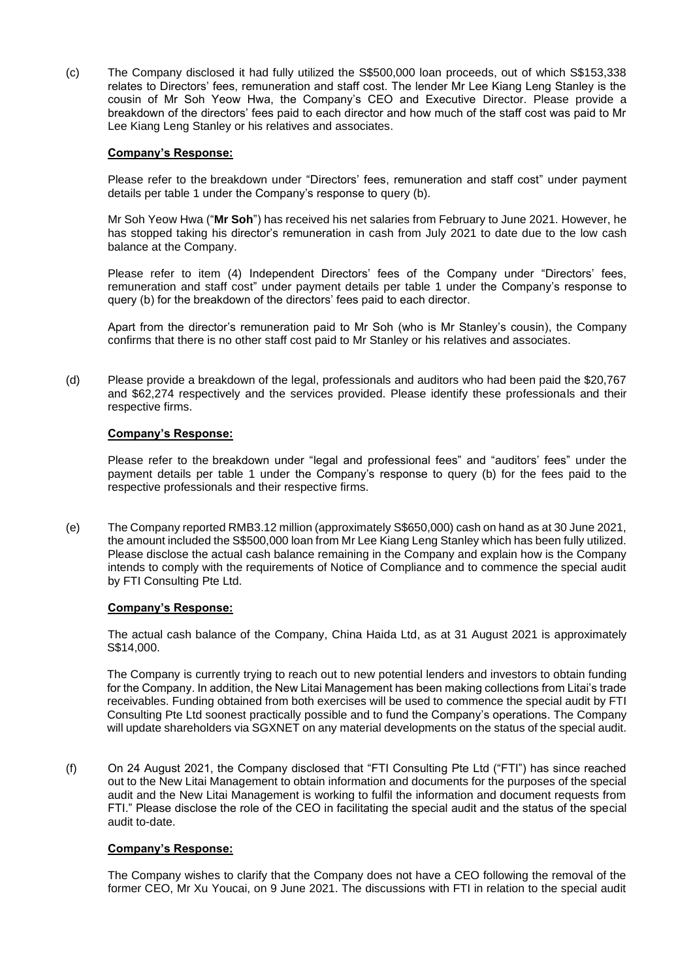(c) The Company disclosed it had fully utilized the S\$500,000 loan proceeds, out of which S\$153,338 relates to Directors' fees, remuneration and staff cost. The lender Mr Lee Kiang Leng Stanley is the cousin of Mr Soh Yeow Hwa, the Company's CEO and Executive Director. Please provide a breakdown of the directors' fees paid to each director and how much of the staff cost was paid to Mr Lee Kiang Leng Stanley or his relatives and associates.

### **Company's Response:**

Please refer to the breakdown under "Directors' fees, remuneration and staff cost" under payment details per table 1 under the Company's response to query (b).

Mr Soh Yeow Hwa ("**Mr Soh**") has received his net salaries from February to June 2021. However, he has stopped taking his director's remuneration in cash from July 2021 to date due to the low cash balance at the Company.

Please refer to item (4) Independent Directors' fees of the Company under "Directors' fees, remuneration and staff cost" under payment details per table 1 under the Company's response to query (b) for the breakdown of the directors' fees paid to each director.

Apart from the director's remuneration paid to Mr Soh (who is Mr Stanley's cousin), the Company confirms that there is no other staff cost paid to Mr Stanley or his relatives and associates.

(d) Please provide a breakdown of the legal, professionals and auditors who had been paid the \$20,767 and \$62,274 respectively and the services provided. Please identify these professionals and their respective firms.

#### **Company's Response:**

Please refer to the breakdown under "legal and professional fees" and "auditors' fees" under the payment details per table 1 under the Company's response to query (b) for the fees paid to the respective professionals and their respective firms.

(e) The Company reported RMB3.12 million (approximately S\$650,000) cash on hand as at 30 June 2021, the amount included the S\$500,000 loan from Mr Lee Kiang Leng Stanley which has been fully utilized. Please disclose the actual cash balance remaining in the Company and explain how is the Company intends to comply with the requirements of Notice of Compliance and to commence the special audit by FTI Consulting Pte Ltd.

#### **Company's Response:**

The actual cash balance of the Company, China Haida Ltd, as at 31 August 2021 is approximately S\$14,000.

The Company is currently trying to reach out to new potential lenders and investors to obtain funding for the Company. In addition, the New Litai Management has been making collections from Litai's trade receivables. Funding obtained from both exercises will be used to commence the special audit by FTI Consulting Pte Ltd soonest practically possible and to fund the Company's operations. The Company will update shareholders via SGXNET on any material developments on the status of the special audit.

(f) On 24 August 2021, the Company disclosed that "FTI Consulting Pte Ltd ("FTI") has since reached out to the New Litai Management to obtain information and documents for the purposes of the special audit and the New Litai Management is working to fulfil the information and document requests from FTI." Please disclose the role of the CEO in facilitating the special audit and the status of the special audit to-date.

## **Company's Response:**

The Company wishes to clarify that the Company does not have a CEO following the removal of the former CEO, Mr Xu Youcai, on 9 June 2021. The discussions with FTI in relation to the special audit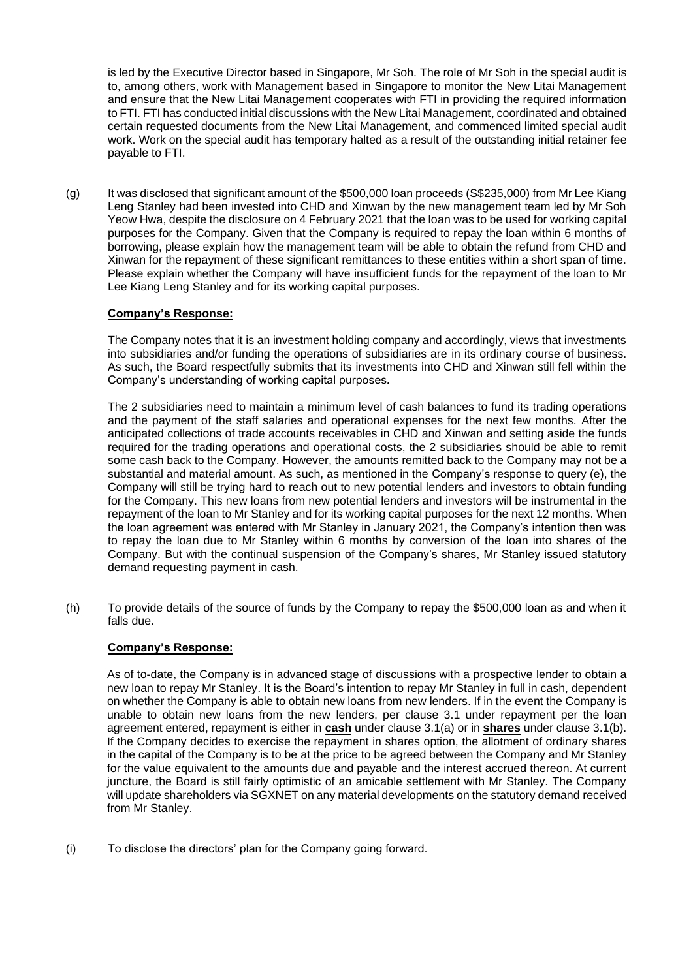is led by the Executive Director based in Singapore, Mr Soh. The role of Mr Soh in the special audit is to, among others, work with Management based in Singapore to monitor the New Litai Management and ensure that the New Litai Management cooperates with FTI in providing the required information to FTI. FTI has conducted initial discussions with the New Litai Management, coordinated and obtained certain requested documents from the New Litai Management, and commenced limited special audit work. Work on the special audit has temporary halted as a result of the outstanding initial retainer fee payable to FTI.

(g) It was disclosed that significant amount of the \$500,000 loan proceeds (S\$235,000) from Mr Lee Kiang Leng Stanley had been invested into CHD and Xinwan by the new management team led by Mr Soh Yeow Hwa, despite the disclosure on 4 February 2021 that the loan was to be used for working capital purposes for the Company. Given that the Company is required to repay the loan within 6 months of borrowing, please explain how the management team will be able to obtain the refund from CHD and Xinwan for the repayment of these significant remittances to these entities within a short span of time. Please explain whether the Company will have insufficient funds for the repayment of the loan to Mr Lee Kiang Leng Stanley and for its working capital purposes.

## **Company's Response:**

The Company notes that it is an investment holding company and accordingly, views that investments into subsidiaries and/or funding the operations of subsidiaries are in its ordinary course of business. As such, the Board respectfully submits that its investments into CHD and Xinwan still fell within the Company's understanding of working capital purposes*.*

The 2 subsidiaries need to maintain a minimum level of cash balances to fund its trading operations and the payment of the staff salaries and operational expenses for the next few months. After the anticipated collections of trade accounts receivables in CHD and Xinwan and setting aside the funds required for the trading operations and operational costs, the 2 subsidiaries should be able to remit some cash back to the Company. However, the amounts remitted back to the Company may not be a substantial and material amount. As such, as mentioned in the Company's response to query (e), the Company will still be trying hard to reach out to new potential lenders and investors to obtain funding for the Company. This new loans from new potential lenders and investors will be instrumental in the repayment of the loan to Mr Stanley and for its working capital purposes for the next 12 months. When the loan agreement was entered with Mr Stanley in January 2021, the Company's intention then was to repay the loan due to Mr Stanley within 6 months by conversion of the loan into shares of the Company. But with the continual suspension of the Company's shares, Mr Stanley issued statutory demand requesting payment in cash.

(h) To provide details of the source of funds by the Company to repay the \$500,000 loan as and when it falls due.

## **Company's Response:**

As of to-date, the Company is in advanced stage of discussions with a prospective lender to obtain a new loan to repay Mr Stanley. It is the Board's intention to repay Mr Stanley in full in cash, dependent on whether the Company is able to obtain new loans from new lenders. If in the event the Company is unable to obtain new loans from the new lenders, per clause 3.1 under repayment per the loan agreement entered, repayment is either in **cash** under clause 3.1(a) or in **shares** under clause 3.1(b). If the Company decides to exercise the repayment in shares option, the allotment of ordinary shares in the capital of the Company is to be at the price to be agreed between the Company and Mr Stanley for the value equivalent to the amounts due and payable and the interest accrued thereon. At current juncture, the Board is still fairly optimistic of an amicable settlement with Mr Stanley. The Company will update shareholders via SGXNET on any material developments on the statutory demand received from Mr Stanley.

(i) To disclose the directors' plan for the Company going forward.